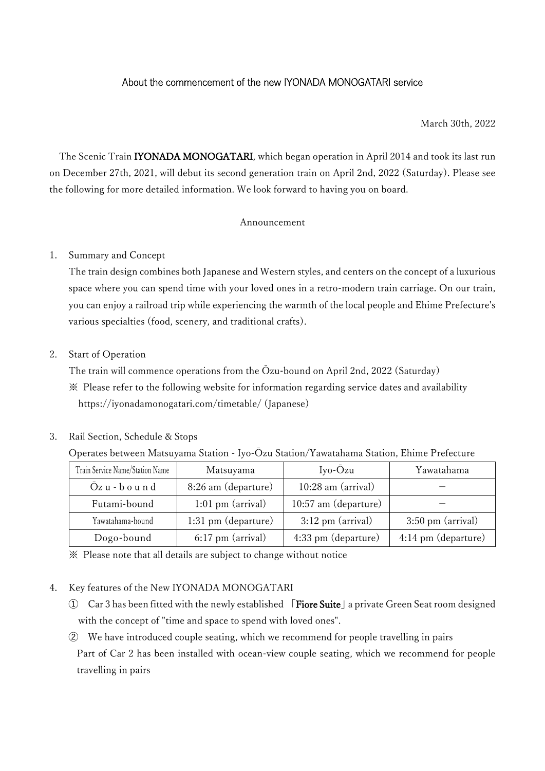## About the commencement of the new IYONADA MONOGATARI service

#### March 30th, 2022

The Scenic Train **IYONADA MONOGATARI**, which began operation in April 2014 and took its last run on December 27th, 2021, will debut its second generation train on April 2nd, 2022 (Saturday). Please see the following for more detailed information. We look forward to having you on board.

### Announcement

#### 1. Summary and Concept

The train design combines both Japanese and Western styles, and centers on the concept of a luxurious space where you can spend time with your loved ones in a retro-modern train carriage. On our train, you can enjoy a railroad trip while experiencing the warmth of the local people and Ehime Prefecture's various specialties (food, scenery, and traditional crafts).

### 2. Start of Operation

The train will commence operations from the Ōzu-bound on April 2nd, 2022 (Saturday) ※ Please refer to the following website for information regarding service dates and availability

[https://iyonadamonogatari.com/timetable/ \(Japanese\)](https://iyonadamonogatari.com/timetable/)

## 3. Rail Section, Schedule & Stops

#### Operates between Matsuyama Station - Iyo-Ōzu Station/Yawatahama Station, Ehime Prefecture

| Train Service Name/Station Name | Matsuyama           | $Iyo-Ozu$                   | Yawatahama                  |
|---------------------------------|---------------------|-----------------------------|-----------------------------|
| $Qz$ u - $b$ o u n d            | 8:26 am (departure) | 10:28 am (arrival)          |                             |
| Futami-bound                    | $1:01$ pm (arrival) | 10:57 am (departure)        |                             |
| Yawatahama-bound                | 1:31 pm (departure) | $3:12 \text{ pm (arrival)}$ | $3:50 \text{ pm}$ (arrival) |
| Dogo-bound                      | $6:17$ pm (arrival) | 4:33 pm (departure)         | 4:14 pm (departure)         |

※ Please note that all details are subject to change without notice

### 4. Key features of the New IYONADA MONOGATARI

- ➀ Car 3 has been fitted with the newly established 「Fiore Suite」a private Green Seat room designed with the concept of "time and space to spend with loved ones".
- ➁ We have introduced couple seating, which we recommend for people travelling in pairs Part of Car 2 has been installed with ocean-view couple seating, which we recommend for people travelling in pairs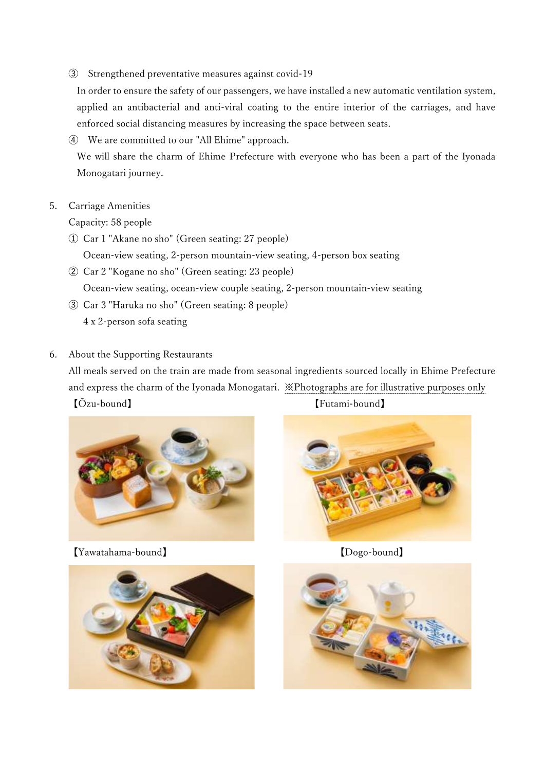➂ Strengthened preventative measures against covid-19

In order to ensure the safety of our passengers, we have installed a new automatic ventilation system, applied an antibacterial and anti-viral coating to the entire interior of the carriages, and have enforced social distancing measures by increasing the space between seats.

➃ We are committed to our "All Ehime" approach.

We will share the charm of Ehime Prefecture with everyone who has been a part of the Iyonada Monogatari journey.

# 5. Carriage Amenities

Capacity: 58 people

➀ Car 1 "Akane no sho" (Green seating: 27 people)

Ocean-view seating, 2-person mountain-view seating, 4-person box seating

- ➁ Car 2 "Kogane no sho" (Green seating: 23 people) Ocean-view seating, ocean-view couple seating, 2-person mountain-view seating
- ➂ Car 3 "Haruka no sho" (Green seating: 8 people) 4 x 2-person sofa seating
- 6. About the Supporting Restaurants

All meals served on the train are made from seasonal ingredients sourced locally in Ehime Prefecture and express the charm of the Iyonada Monogatari. ※Photographs are for illustrative purposes only 【Ōzu-bound】 【Futami-bound】



【Yawatahama-bound】 【Dogo-bound】